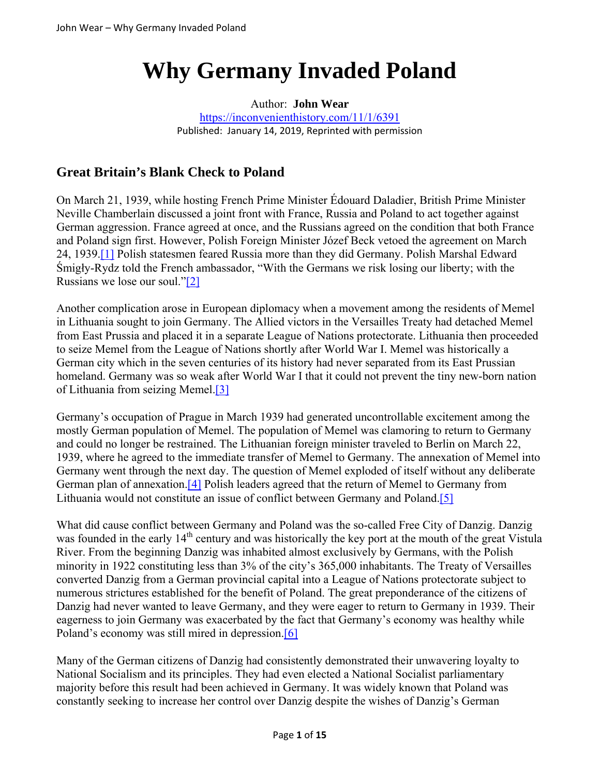# **Why Germany Invaded Poland**

#### Author: **John Wear**

https://inconvenienthistory.com/11/1/6391 Published: January 14, 2019, Reprinted with permission

# **Great Britain's Blank Check to Poland**

On March 21, 1939, while hosting French Prime Minister Édouard Daladier, British Prime Minister Neville Chamberlain discussed a joint front with France, Russia and Poland to act together against German aggression. France agreed at once, and the Russians agreed on the condition that both France and Poland sign first. However, Polish Foreign Minister Józef Beck vetoed the agreement on March 24, 1939.[1] Polish statesmen feared Russia more than they did Germany. Polish Marshal Edward Śmigły-Rydz told the French ambassador, "With the Germans we risk losing our liberty; with the Russians we lose our soul."[2]

Another complication arose in European diplomacy when a movement among the residents of Memel in Lithuania sought to join Germany. The Allied victors in the Versailles Treaty had detached Memel from East Prussia and placed it in a separate League of Nations protectorate. Lithuania then proceeded to seize Memel from the League of Nations shortly after World War I. Memel was historically a German city which in the seven centuries of its history had never separated from its East Prussian homeland. Germany was so weak after World War I that it could not prevent the tiny new-born nation of Lithuania from seizing Memel.[3]

Germany's occupation of Prague in March 1939 had generated uncontrollable excitement among the mostly German population of Memel. The population of Memel was clamoring to return to Germany and could no longer be restrained. The Lithuanian foreign minister traveled to Berlin on March 22, 1939, where he agreed to the immediate transfer of Memel to Germany. The annexation of Memel into Germany went through the next day. The question of Memel exploded of itself without any deliberate German plan of annexation.[4] Polish leaders agreed that the return of Memel to Germany from Lithuania would not constitute an issue of conflict between Germany and Poland.[5]

What did cause conflict between Germany and Poland was the so-called Free City of Danzig. Danzig was founded in the early 14<sup>th</sup> century and was historically the key port at the mouth of the great Vistula River. From the beginning Danzig was inhabited almost exclusively by Germans, with the Polish minority in 1922 constituting less than 3% of the city's 365,000 inhabitants. The Treaty of Versailles converted Danzig from a German provincial capital into a League of Nations protectorate subject to numerous strictures established for the benefit of Poland. The great preponderance of the citizens of Danzig had never wanted to leave Germany, and they were eager to return to Germany in 1939. Their eagerness to join Germany was exacerbated by the fact that Germany's economy was healthy while Poland's economy was still mired in depression.<sup>[6]</sup>

Many of the German citizens of Danzig had consistently demonstrated their unwavering loyalty to National Socialism and its principles. They had even elected a National Socialist parliamentary majority before this result had been achieved in Germany. It was widely known that Poland was constantly seeking to increase her control over Danzig despite the wishes of Danzig's German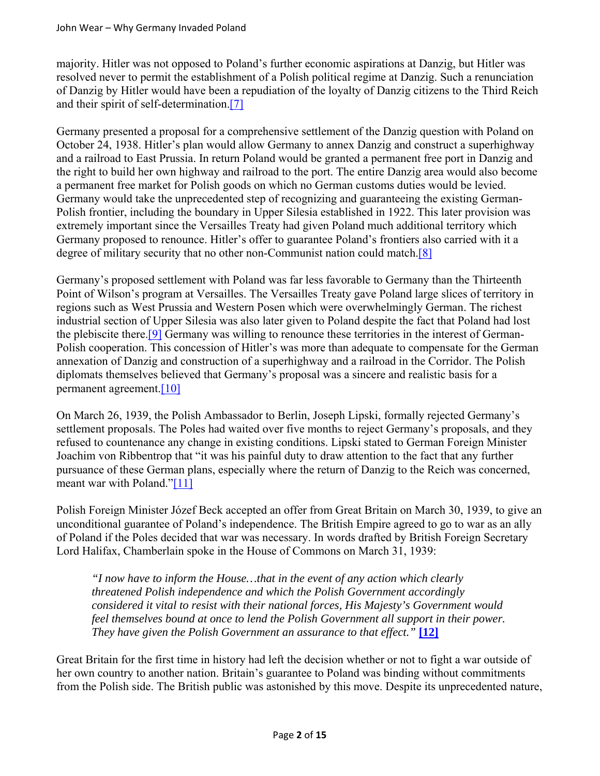majority. Hitler was not opposed to Poland's further economic aspirations at Danzig, but Hitler was resolved never to permit the establishment of a Polish political regime at Danzig. Such a renunciation of Danzig by Hitler would have been a repudiation of the loyalty of Danzig citizens to the Third Reich and their spirit of self-determination.[7]

Germany presented a proposal for a comprehensive settlement of the Danzig question with Poland on October 24, 1938. Hitler's plan would allow Germany to annex Danzig and construct a superhighway and a railroad to East Prussia. In return Poland would be granted a permanent free port in Danzig and the right to build her own highway and railroad to the port. The entire Danzig area would also become a permanent free market for Polish goods on which no German customs duties would be levied. Germany would take the unprecedented step of recognizing and guaranteeing the existing German-Polish frontier, including the boundary in Upper Silesia established in 1922. This later provision was extremely important since the Versailles Treaty had given Poland much additional territory which Germany proposed to renounce. Hitler's offer to guarantee Poland's frontiers also carried with it a degree of military security that no other non-Communist nation could match.[8]

Germany's proposed settlement with Poland was far less favorable to Germany than the Thirteenth Point of Wilson's program at Versailles. The Versailles Treaty gave Poland large slices of territory in regions such as West Prussia and Western Posen which were overwhelmingly German. The richest industrial section of Upper Silesia was also later given to Poland despite the fact that Poland had lost the plebiscite there.[9] Germany was willing to renounce these territories in the interest of German-Polish cooperation. This concession of Hitler's was more than adequate to compensate for the German annexation of Danzig and construction of a superhighway and a railroad in the Corridor. The Polish diplomats themselves believed that Germany's proposal was a sincere and realistic basis for a permanent agreement.[10]

On March 26, 1939, the Polish Ambassador to Berlin, Joseph Lipski, formally rejected Germany's settlement proposals. The Poles had waited over five months to reject Germany's proposals, and they refused to countenance any change in existing conditions. Lipski stated to German Foreign Minister Joachim von Ribbentrop that "it was his painful duty to draw attention to the fact that any further pursuance of these German plans, especially where the return of Danzig to the Reich was concerned, meant war with Poland."[11]

Polish Foreign Minister Józef Beck accepted an offer from Great Britain on March 30, 1939, to give an unconditional guarantee of Poland's independence. The British Empire agreed to go to war as an ally of Poland if the Poles decided that war was necessary. In words drafted by British Foreign Secretary Lord Halifax, Chamberlain spoke in the House of Commons on March 31, 1939:

*"I now have to inform the House…that in the event of any action which clearly threatened Polish independence and which the Polish Government accordingly considered it vital to resist with their national forces, His Majesty's Government would feel themselves bound at once to lend the Polish Government all support in their power. They have given the Polish Government an assurance to that effect."* **[12]**

Great Britain for the first time in history had left the decision whether or not to fight a war outside of her own country to another nation. Britain's guarantee to Poland was binding without commitments from the Polish side. The British public was astonished by this move. Despite its unprecedented nature,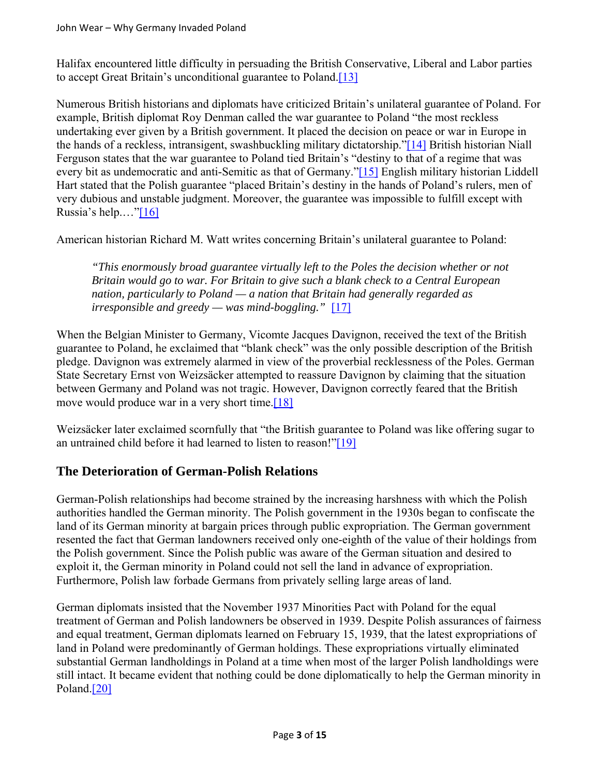Halifax encountered little difficulty in persuading the British Conservative, Liberal and Labor parties to accept Great Britain's unconditional guarantee to Poland.[13]

Numerous British historians and diplomats have criticized Britain's unilateral guarantee of Poland. For example, British diplomat Roy Denman called the war guarantee to Poland "the most reckless undertaking ever given by a British government. It placed the decision on peace or war in Europe in the hands of a reckless, intransigent, swashbuckling military dictatorship."[14] British historian Niall Ferguson states that the war guarantee to Poland tied Britain's "destiny to that of a regime that was every bit as undemocratic and anti-Semitic as that of Germany."[15] English military historian Liddell Hart stated that the Polish guarantee "placed Britain's destiny in the hands of Poland's rulers, men of very dubious and unstable judgment. Moreover, the guarantee was impossible to fulfill except with Russia's help...."[16]

American historian Richard M. Watt writes concerning Britain's unilateral guarantee to Poland:

*"This enormously broad guarantee virtually left to the Poles the decision whether or not Britain would go to war. For Britain to give such a blank check to a Central European nation, particularly to Poland — a nation that Britain had generally regarded as irresponsible and greedy — was mind-boggling."* [17]

When the Belgian Minister to Germany, Vicomte Jacques Davignon, received the text of the British guarantee to Poland, he exclaimed that "blank check" was the only possible description of the British pledge. Davignon was extremely alarmed in view of the proverbial recklessness of the Poles. German State Secretary Ernst von Weizsäcker attempted to reassure Davignon by claiming that the situation between Germany and Poland was not tragic. However, Davignon correctly feared that the British move would produce war in a very short time.<sup>[18]</sup>

Weizsäcker later exclaimed scornfully that "the British guarantee to Poland was like offering sugar to an untrained child before it had learned to listen to reason!"[19]

## **The Deterioration of German-Polish Relations**

German-Polish relationships had become strained by the increasing harshness with which the Polish authorities handled the German minority. The Polish government in the 1930s began to confiscate the land of its German minority at bargain prices through public expropriation. The German government resented the fact that German landowners received only one-eighth of the value of their holdings from the Polish government. Since the Polish public was aware of the German situation and desired to exploit it, the German minority in Poland could not sell the land in advance of expropriation. Furthermore, Polish law forbade Germans from privately selling large areas of land.

German diplomats insisted that the November 1937 Minorities Pact with Poland for the equal treatment of German and Polish landowners be observed in 1939. Despite Polish assurances of fairness and equal treatment, German diplomats learned on February 15, 1939, that the latest expropriations of land in Poland were predominantly of German holdings. These expropriations virtually eliminated substantial German landholdings in Poland at a time when most of the larger Polish landholdings were still intact. It became evident that nothing could be done diplomatically to help the German minority in Poland.[20]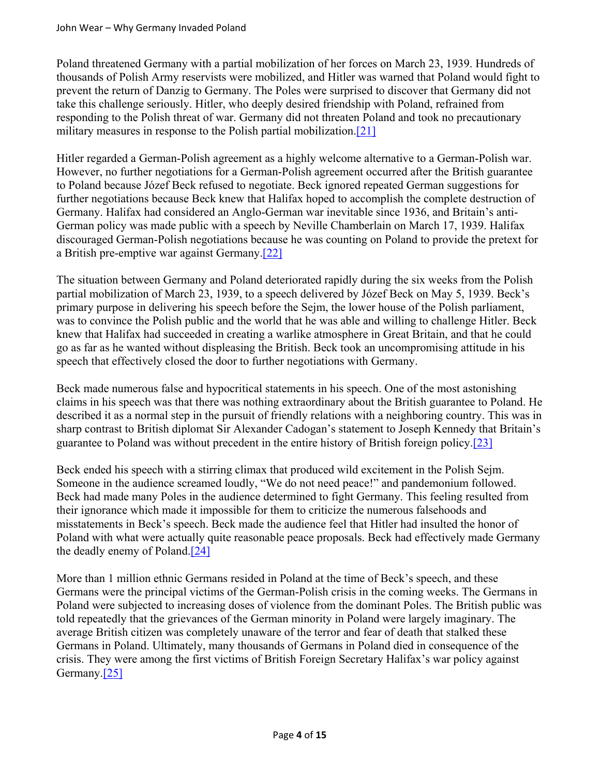Poland threatened Germany with a partial mobilization of her forces on March 23, 1939. Hundreds of thousands of Polish Army reservists were mobilized, and Hitler was warned that Poland would fight to prevent the return of Danzig to Germany. The Poles were surprised to discover that Germany did not take this challenge seriously. Hitler, who deeply desired friendship with Poland, refrained from responding to the Polish threat of war. Germany did not threaten Poland and took no precautionary military measures in response to the Polish partial mobilization.[21]

Hitler regarded a German-Polish agreement as a highly welcome alternative to a German-Polish war. However, no further negotiations for a German-Polish agreement occurred after the British guarantee to Poland because Józef Beck refused to negotiate. Beck ignored repeated German suggestions for further negotiations because Beck knew that Halifax hoped to accomplish the complete destruction of Germany. Halifax had considered an Anglo-German war inevitable since 1936, and Britain's anti-German policy was made public with a speech by Neville Chamberlain on March 17, 1939. Halifax discouraged German-Polish negotiations because he was counting on Poland to provide the pretext for a British pre-emptive war against Germany.[22]

The situation between Germany and Poland deteriorated rapidly during the six weeks from the Polish partial mobilization of March 23, 1939, to a speech delivered by Józef Beck on May 5, 1939. Beck's primary purpose in delivering his speech before the Sejm, the lower house of the Polish parliament, was to convince the Polish public and the world that he was able and willing to challenge Hitler. Beck knew that Halifax had succeeded in creating a warlike atmosphere in Great Britain, and that he could go as far as he wanted without displeasing the British. Beck took an uncompromising attitude in his speech that effectively closed the door to further negotiations with Germany.

Beck made numerous false and hypocritical statements in his speech. One of the most astonishing claims in his speech was that there was nothing extraordinary about the British guarantee to Poland. He described it as a normal step in the pursuit of friendly relations with a neighboring country. This was in sharp contrast to British diplomat Sir Alexander Cadogan's statement to Joseph Kennedy that Britain's guarantee to Poland was without precedent in the entire history of British foreign policy.[23]

Beck ended his speech with a stirring climax that produced wild excitement in the Polish Sejm. Someone in the audience screamed loudly, "We do not need peace!" and pandemonium followed. Beck had made many Poles in the audience determined to fight Germany. This feeling resulted from their ignorance which made it impossible for them to criticize the numerous falsehoods and misstatements in Beck's speech. Beck made the audience feel that Hitler had insulted the honor of Poland with what were actually quite reasonable peace proposals. Beck had effectively made Germany the deadly enemy of Poland.[24]

More than 1 million ethnic Germans resided in Poland at the time of Beck's speech, and these Germans were the principal victims of the German-Polish crisis in the coming weeks. The Germans in Poland were subjected to increasing doses of violence from the dominant Poles. The British public was told repeatedly that the grievances of the German minority in Poland were largely imaginary. The average British citizen was completely unaware of the terror and fear of death that stalked these Germans in Poland. Ultimately, many thousands of Germans in Poland died in consequence of the crisis. They were among the first victims of British Foreign Secretary Halifax's war policy against Germany.<sup>[25]</sup>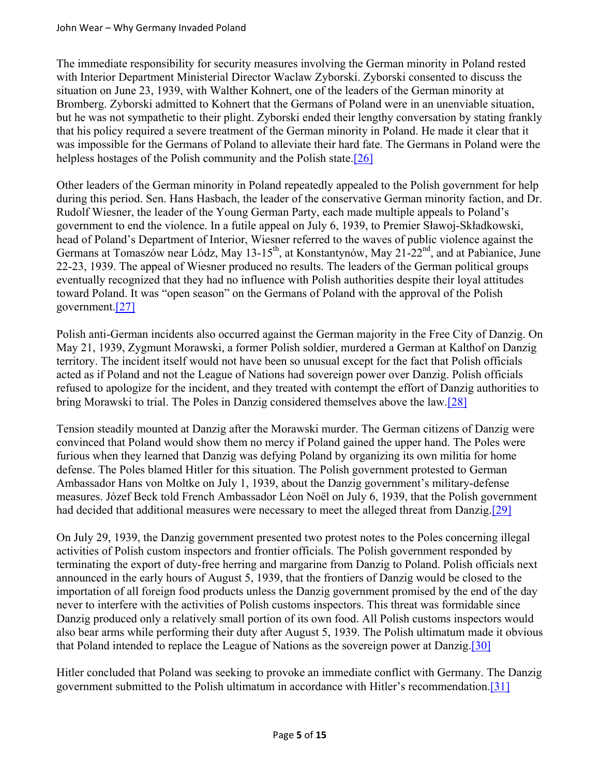The immediate responsibility for security measures involving the German minority in Poland rested with Interior Department Ministerial Director Waclaw Zyborski. Zyborski consented to discuss the situation on June 23, 1939, with Walther Kohnert, one of the leaders of the German minority at Bromberg. Zyborski admitted to Kohnert that the Germans of Poland were in an unenviable situation, but he was not sympathetic to their plight. Zyborski ended their lengthy conversation by stating frankly that his policy required a severe treatment of the German minority in Poland. He made it clear that it was impossible for the Germans of Poland to alleviate their hard fate. The Germans in Poland were the helpless hostages of the Polish community and the Polish state.<sup>[26]</sup>

Other leaders of the German minority in Poland repeatedly appealed to the Polish government for help during this period. Sen. Hans Hasbach, the leader of the conservative German minority faction, and Dr. Rudolf Wiesner, the leader of the Young German Party, each made multiple appeals to Poland's government to end the violence. In a futile appeal on July 6, 1939, to Premier Sławoj-Składkowski, head of Poland's Department of Interior, Wiesner referred to the waves of public violence against the Germans at Tomaszów near Lódz, May 13-15<sup>th</sup>, at Konstantynów, May 21-22<sup>nd</sup>, and at Pabianice, June 22-23, 1939. The appeal of Wiesner produced no results. The leaders of the German political groups eventually recognized that they had no influence with Polish authorities despite their loyal attitudes toward Poland. It was "open season" on the Germans of Poland with the approval of the Polish government.[27]

Polish anti-German incidents also occurred against the German majority in the Free City of Danzig. On May 21, 1939, Zygmunt Morawski, a former Polish soldier, murdered a German at Kalthof on Danzig territory. The incident itself would not have been so unusual except for the fact that Polish officials acted as if Poland and not the League of Nations had sovereign power over Danzig. Polish officials refused to apologize for the incident, and they treated with contempt the effort of Danzig authorities to bring Morawski to trial. The Poles in Danzig considered themselves above the law.[28]

Tension steadily mounted at Danzig after the Morawski murder. The German citizens of Danzig were convinced that Poland would show them no mercy if Poland gained the upper hand. The Poles were furious when they learned that Danzig was defying Poland by organizing its own militia for home defense. The Poles blamed Hitler for this situation. The Polish government protested to German Ambassador Hans von Moltke on July 1, 1939, about the Danzig government's military-defense measures. Józef Beck told French Ambassador Léon Noël on July 6, 1939, that the Polish government had decided that additional measures were necessary to meet the alleged threat from Danzig.[29]

On July 29, 1939, the Danzig government presented two protest notes to the Poles concerning illegal activities of Polish custom inspectors and frontier officials. The Polish government responded by terminating the export of duty-free herring and margarine from Danzig to Poland. Polish officials next announced in the early hours of August 5, 1939, that the frontiers of Danzig would be closed to the importation of all foreign food products unless the Danzig government promised by the end of the day never to interfere with the activities of Polish customs inspectors. This threat was formidable since Danzig produced only a relatively small portion of its own food. All Polish customs inspectors would also bear arms while performing their duty after August 5, 1939. The Polish ultimatum made it obvious that Poland intended to replace the League of Nations as the sovereign power at Danzig.[30]

Hitler concluded that Poland was seeking to provoke an immediate conflict with Germany. The Danzig government submitted to the Polish ultimatum in accordance with Hitler's recommendation.[31]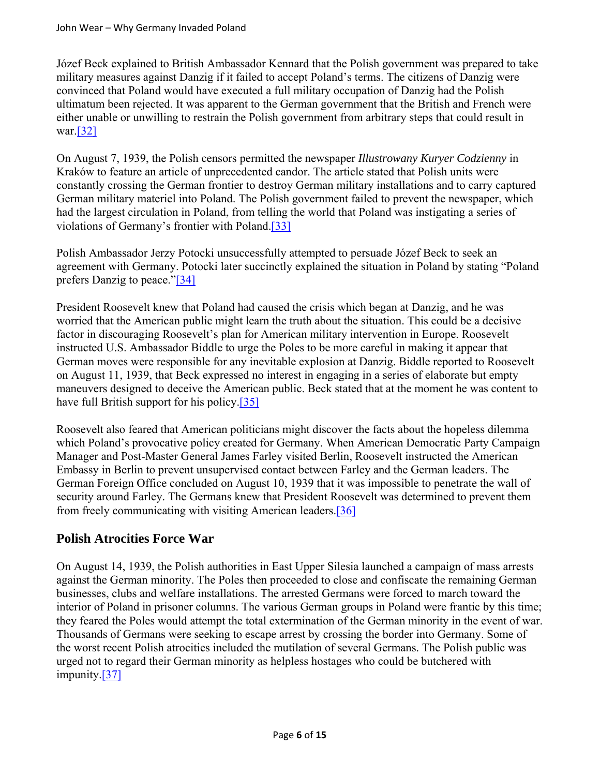Józef Beck explained to British Ambassador Kennard that the Polish government was prepared to take military measures against Danzig if it failed to accept Poland's terms. The citizens of Danzig were convinced that Poland would have executed a full military occupation of Danzig had the Polish ultimatum been rejected. It was apparent to the German government that the British and French were either unable or unwilling to restrain the Polish government from arbitrary steps that could result in war.[32]

On August 7, 1939, the Polish censors permitted the newspaper *Illustrowany Kuryer Codzienny* in Kraków to feature an article of unprecedented candor. The article stated that Polish units were constantly crossing the German frontier to destroy German military installations and to carry captured German military materiel into Poland. The Polish government failed to prevent the newspaper, which had the largest circulation in Poland, from telling the world that Poland was instigating a series of violations of Germany's frontier with Poland.[33]

Polish Ambassador Jerzy Potocki unsuccessfully attempted to persuade Józef Beck to seek an agreement with Germany. Potocki later succinctly explained the situation in Poland by stating "Poland prefers Danzig to peace."[34]

President Roosevelt knew that Poland had caused the crisis which began at Danzig, and he was worried that the American public might learn the truth about the situation. This could be a decisive factor in discouraging Roosevelt's plan for American military intervention in Europe. Roosevelt instructed U.S. Ambassador Biddle to urge the Poles to be more careful in making it appear that German moves were responsible for any inevitable explosion at Danzig. Biddle reported to Roosevelt on August 11, 1939, that Beck expressed no interest in engaging in a series of elaborate but empty maneuvers designed to deceive the American public. Beck stated that at the moment he was content to have full British support for his policy.<sup>[35]</sup>

Roosevelt also feared that American politicians might discover the facts about the hopeless dilemma which Poland's provocative policy created for Germany. When American Democratic Party Campaign Manager and Post-Master General James Farley visited Berlin, Roosevelt instructed the American Embassy in Berlin to prevent unsupervised contact between Farley and the German leaders. The German Foreign Office concluded on August 10, 1939 that it was impossible to penetrate the wall of security around Farley. The Germans knew that President Roosevelt was determined to prevent them from freely communicating with visiting American leaders.[36]

## **Polish Atrocities Force War**

On August 14, 1939, the Polish authorities in East Upper Silesia launched a campaign of mass arrests against the German minority. The Poles then proceeded to close and confiscate the remaining German businesses, clubs and welfare installations. The arrested Germans were forced to march toward the interior of Poland in prisoner columns. The various German groups in Poland were frantic by this time; they feared the Poles would attempt the total extermination of the German minority in the event of war. Thousands of Germans were seeking to escape arrest by crossing the border into Germany. Some of the worst recent Polish atrocities included the mutilation of several Germans. The Polish public was urged not to regard their German minority as helpless hostages who could be butchered with impunity.[37]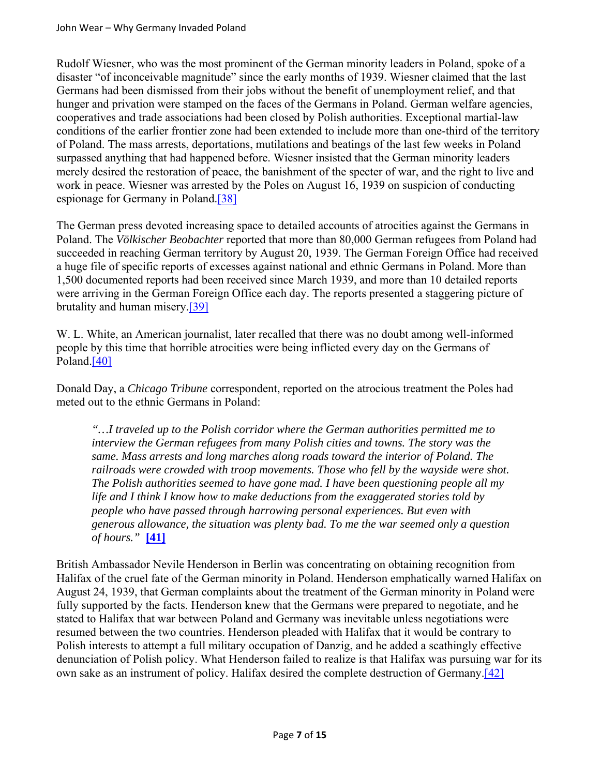Rudolf Wiesner, who was the most prominent of the German minority leaders in Poland, spoke of a disaster "of inconceivable magnitude" since the early months of 1939. Wiesner claimed that the last Germans had been dismissed from their jobs without the benefit of unemployment relief, and that hunger and privation were stamped on the faces of the Germans in Poland. German welfare agencies, cooperatives and trade associations had been closed by Polish authorities. Exceptional martial-law conditions of the earlier frontier zone had been extended to include more than one-third of the territory of Poland. The mass arrests, deportations, mutilations and beatings of the last few weeks in Poland surpassed anything that had happened before. Wiesner insisted that the German minority leaders merely desired the restoration of peace, the banishment of the specter of war, and the right to live and work in peace. Wiesner was arrested by the Poles on August 16, 1939 on suspicion of conducting espionage for Germany in Poland.[38]

The German press devoted increasing space to detailed accounts of atrocities against the Germans in Poland. The *Völkischer Beobachter* reported that more than 80,000 German refugees from Poland had succeeded in reaching German territory by August 20, 1939. The German Foreign Office had received a huge file of specific reports of excesses against national and ethnic Germans in Poland. More than 1,500 documented reports had been received since March 1939, and more than 10 detailed reports were arriving in the German Foreign Office each day. The reports presented a staggering picture of brutality and human misery.[39]

W. L. White, an American journalist, later recalled that there was no doubt among well-informed people by this time that horrible atrocities were being inflicted every day on the Germans of Poland.<sup>[40]</sup>

Donald Day, a *Chicago Tribune* correspondent, reported on the atrocious treatment the Poles had meted out to the ethnic Germans in Poland:

*"…I traveled up to the Polish corridor where the German authorities permitted me to interview the German refugees from many Polish cities and towns. The story was the same. Mass arrests and long marches along roads toward the interior of Poland. The railroads were crowded with troop movements. Those who fell by the wayside were shot. The Polish authorities seemed to have gone mad. I have been questioning people all my life and I think I know how to make deductions from the exaggerated stories told by people who have passed through harrowing personal experiences. But even with generous allowance, the situation was plenty bad. To me the war seemed only a question of hours."* **[41]**

British Ambassador Nevile Henderson in Berlin was concentrating on obtaining recognition from Halifax of the cruel fate of the German minority in Poland. Henderson emphatically warned Halifax on August 24, 1939, that German complaints about the treatment of the German minority in Poland were fully supported by the facts. Henderson knew that the Germans were prepared to negotiate, and he stated to Halifax that war between Poland and Germany was inevitable unless negotiations were resumed between the two countries. Henderson pleaded with Halifax that it would be contrary to Polish interests to attempt a full military occupation of Danzig, and he added a scathingly effective denunciation of Polish policy. What Henderson failed to realize is that Halifax was pursuing war for its own sake as an instrument of policy. Halifax desired the complete destruction of Germany.[42]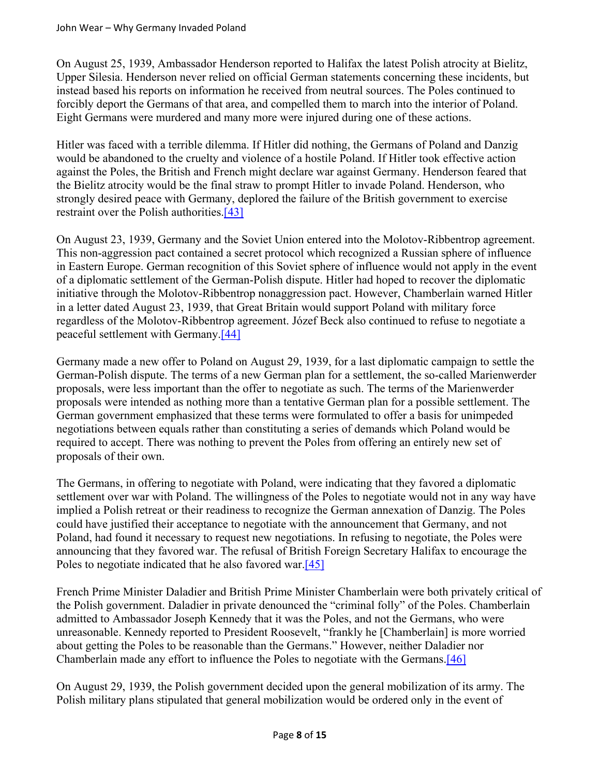On August 25, 1939, Ambassador Henderson reported to Halifax the latest Polish atrocity at Bielitz, Upper Silesia. Henderson never relied on official German statements concerning these incidents, but instead based his reports on information he received from neutral sources. The Poles continued to forcibly deport the Germans of that area, and compelled them to march into the interior of Poland. Eight Germans were murdered and many more were injured during one of these actions.

Hitler was faced with a terrible dilemma. If Hitler did nothing, the Germans of Poland and Danzig would be abandoned to the cruelty and violence of a hostile Poland. If Hitler took effective action against the Poles, the British and French might declare war against Germany. Henderson feared that the Bielitz atrocity would be the final straw to prompt Hitler to invade Poland. Henderson, who strongly desired peace with Germany, deplored the failure of the British government to exercise restraint over the Polish authorities.[43]

On August 23, 1939, Germany and the Soviet Union entered into the Molotov-Ribbentrop agreement. This non-aggression pact contained a secret protocol which recognized a Russian sphere of influence in Eastern Europe. German recognition of this Soviet sphere of influence would not apply in the event of a diplomatic settlement of the German-Polish dispute. Hitler had hoped to recover the diplomatic initiative through the Molotov-Ribbentrop nonaggression pact. However, Chamberlain warned Hitler in a letter dated August 23, 1939, that Great Britain would support Poland with military force regardless of the Molotov-Ribbentrop agreement. Józef Beck also continued to refuse to negotiate a peaceful settlement with Germany.[44]

Germany made a new offer to Poland on August 29, 1939, for a last diplomatic campaign to settle the German-Polish dispute. The terms of a new German plan for a settlement, the so-called Marienwerder proposals, were less important than the offer to negotiate as such. The terms of the Marienwerder proposals were intended as nothing more than a tentative German plan for a possible settlement. The German government emphasized that these terms were formulated to offer a basis for unimpeded negotiations between equals rather than constituting a series of demands which Poland would be required to accept. There was nothing to prevent the Poles from offering an entirely new set of proposals of their own.

The Germans, in offering to negotiate with Poland, were indicating that they favored a diplomatic settlement over war with Poland. The willingness of the Poles to negotiate would not in any way have implied a Polish retreat or their readiness to recognize the German annexation of Danzig. The Poles could have justified their acceptance to negotiate with the announcement that Germany, and not Poland, had found it necessary to request new negotiations. In refusing to negotiate, the Poles were announcing that they favored war. The refusal of British Foreign Secretary Halifax to encourage the Poles to negotiate indicated that he also favored war.<sup>[45]</sup>

French Prime Minister Daladier and British Prime Minister Chamberlain were both privately critical of the Polish government. Daladier in private denounced the "criminal folly" of the Poles. Chamberlain admitted to Ambassador Joseph Kennedy that it was the Poles, and not the Germans, who were unreasonable. Kennedy reported to President Roosevelt, "frankly he [Chamberlain] is more worried about getting the Poles to be reasonable than the Germans." However, neither Daladier nor Chamberlain made any effort to influence the Poles to negotiate with the Germans.[46]

On August 29, 1939, the Polish government decided upon the general mobilization of its army. The Polish military plans stipulated that general mobilization would be ordered only in the event of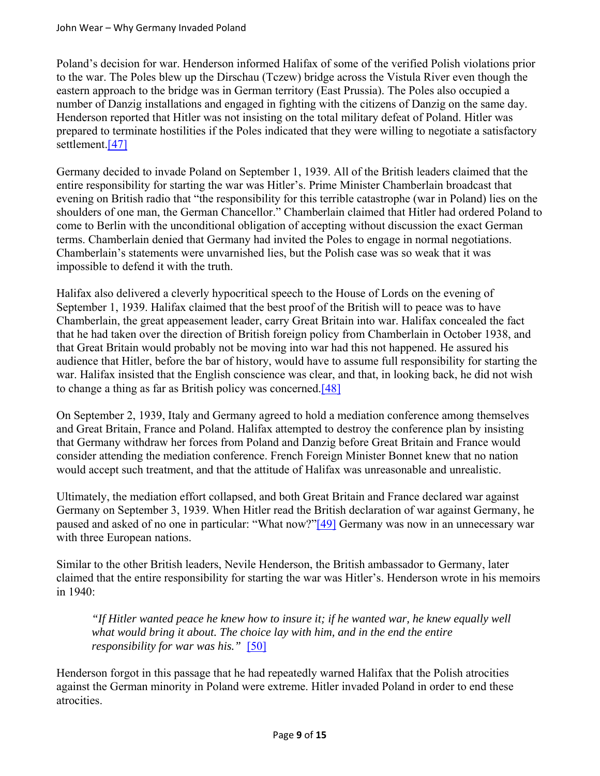Poland's decision for war. Henderson informed Halifax of some of the verified Polish violations prior to the war. The Poles blew up the Dirschau (Tczew) bridge across the Vistula River even though the eastern approach to the bridge was in German territory (East Prussia). The Poles also occupied a number of Danzig installations and engaged in fighting with the citizens of Danzig on the same day. Henderson reported that Hitler was not insisting on the total military defeat of Poland. Hitler was prepared to terminate hostilities if the Poles indicated that they were willing to negotiate a satisfactory settlement.[47]

Germany decided to invade Poland on September 1, 1939. All of the British leaders claimed that the entire responsibility for starting the war was Hitler's. Prime Minister Chamberlain broadcast that evening on British radio that "the responsibility for this terrible catastrophe (war in Poland) lies on the shoulders of one man, the German Chancellor." Chamberlain claimed that Hitler had ordered Poland to come to Berlin with the unconditional obligation of accepting without discussion the exact German terms. Chamberlain denied that Germany had invited the Poles to engage in normal negotiations. Chamberlain's statements were unvarnished lies, but the Polish case was so weak that it was impossible to defend it with the truth.

Halifax also delivered a cleverly hypocritical speech to the House of Lords on the evening of September 1, 1939. Halifax claimed that the best proof of the British will to peace was to have Chamberlain, the great appeasement leader, carry Great Britain into war. Halifax concealed the fact that he had taken over the direction of British foreign policy from Chamberlain in October 1938, and that Great Britain would probably not be moving into war had this not happened. He assured his audience that Hitler, before the bar of history, would have to assume full responsibility for starting the war. Halifax insisted that the English conscience was clear, and that, in looking back, he did not wish to change a thing as far as British policy was concerned.[48]

On September 2, 1939, Italy and Germany agreed to hold a mediation conference among themselves and Great Britain, France and Poland. Halifax attempted to destroy the conference plan by insisting that Germany withdraw her forces from Poland and Danzig before Great Britain and France would consider attending the mediation conference. French Foreign Minister Bonnet knew that no nation would accept such treatment, and that the attitude of Halifax was unreasonable and unrealistic.

Ultimately, the mediation effort collapsed, and both Great Britain and France declared war against Germany on September 3, 1939. When Hitler read the British declaration of war against Germany, he paused and asked of no one in particular: "What now?"[49] Germany was now in an unnecessary war with three European nations.

Similar to the other British leaders, Nevile Henderson, the British ambassador to Germany, later claimed that the entire responsibility for starting the war was Hitler's. Henderson wrote in his memoirs in 1940:

*"If Hitler wanted peace he knew how to insure it; if he wanted war, he knew equally well what would bring it about. The choice lay with him, and in the end the entire responsibility for war was his."* [50]

Henderson forgot in this passage that he had repeatedly warned Halifax that the Polish atrocities against the German minority in Poland were extreme. Hitler invaded Poland in order to end these atrocities.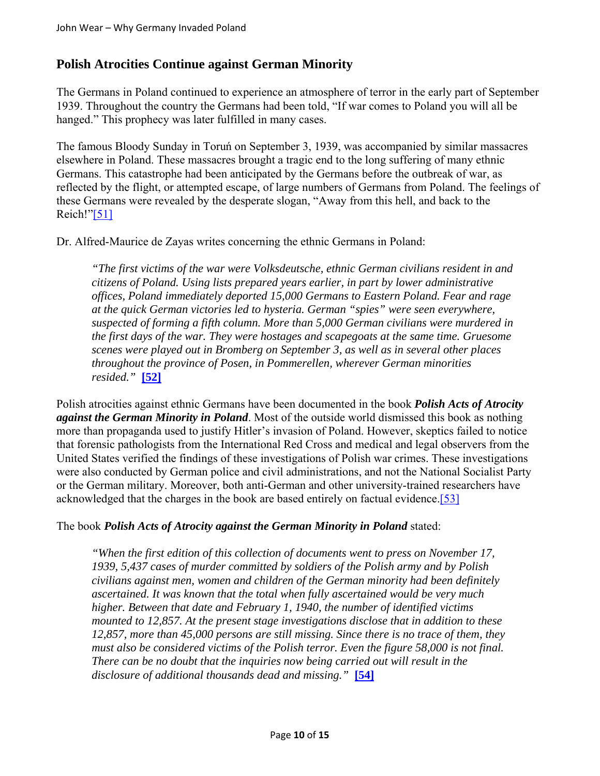#### **Polish Atrocities Continue against German Minority**

The Germans in Poland continued to experience an atmosphere of terror in the early part of September 1939. Throughout the country the Germans had been told, "If war comes to Poland you will all be hanged." This prophecy was later fulfilled in many cases.

The famous Bloody Sunday in Toruń on September 3, 1939, was accompanied by similar massacres elsewhere in Poland. These massacres brought a tragic end to the long suffering of many ethnic Germans. This catastrophe had been anticipated by the Germans before the outbreak of war, as reflected by the flight, or attempted escape, of large numbers of Germans from Poland. The feelings of these Germans were revealed by the desperate slogan, "Away from this hell, and back to the Reich!"[51]

Dr. Alfred-Maurice de Zayas writes concerning the ethnic Germans in Poland:

*"The first victims of the war were Volksdeutsche, ethnic German civilians resident in and citizens of Poland. Using lists prepared years earlier, in part by lower administrative offices, Poland immediately deported 15,000 Germans to Eastern Poland. Fear and rage at the quick German victories led to hysteria. German "spies" were seen everywhere, suspected of forming a fifth column. More than 5,000 German civilians were murdered in the first days of the war. They were hostages and scapegoats at the same time. Gruesome scenes were played out in Bromberg on September 3, as well as in several other places throughout the province of Posen, in Pommerellen, wherever German minorities resided."* **[52]**

Polish atrocities against ethnic Germans have been documented in the book *Polish Acts of Atrocity against the German Minority in Poland*. Most of the outside world dismissed this book as nothing more than propaganda used to justify Hitler's invasion of Poland. However, skeptics failed to notice that forensic pathologists from the International Red Cross and medical and legal observers from the United States verified the findings of these investigations of Polish war crimes. These investigations were also conducted by German police and civil administrations, and not the National Socialist Party or the German military. Moreover, both anti-German and other university-trained researchers have acknowledged that the charges in the book are based entirely on factual evidence.[53]

#### The book *Polish Acts of Atrocity against the German Minority in Poland* stated:

*"When the first edition of this collection of documents went to press on November 17, 1939, 5,437 cases of murder committed by soldiers of the Polish army and by Polish civilians against men, women and children of the German minority had been definitely ascertained. It was known that the total when fully ascertained would be very much higher. Between that date and February 1, 1940, the number of identified victims mounted to 12,857. At the present stage investigations disclose that in addition to these 12,857, more than 45,000 persons are still missing. Since there is no trace of them, they must also be considered victims of the Polish terror. Even the figure 58,000 is not final. There can be no doubt that the inquiries now being carried out will result in the disclosure of additional thousands dead and missing."* **[54]**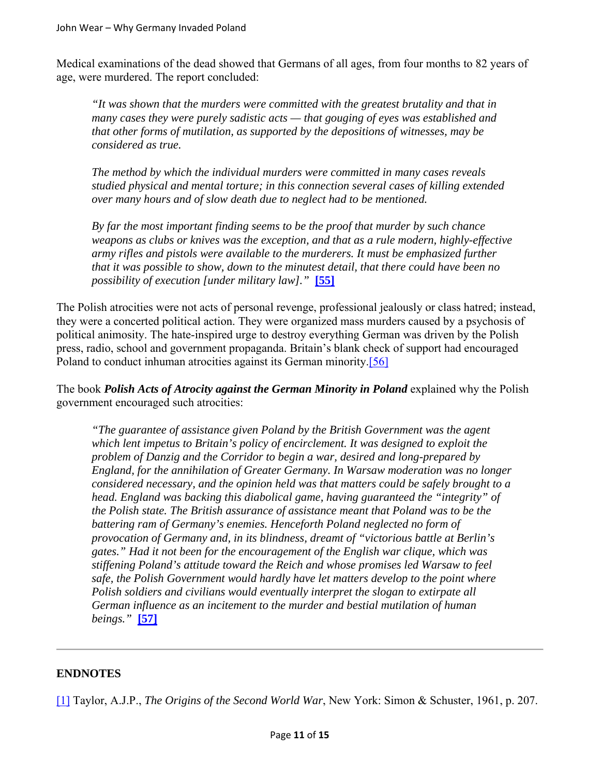Medical examinations of the dead showed that Germans of all ages, from four months to 82 years of age, were murdered. The report concluded:

*"It was shown that the murders were committed with the greatest brutality and that in many cases they were purely sadistic acts — that gouging of eyes was established and that other forms of mutilation, as supported by the depositions of witnesses, may be considered as true.* 

*The method by which the individual murders were committed in many cases reveals studied physical and mental torture; in this connection several cases of killing extended over many hours and of slow death due to neglect had to be mentioned.* 

*By far the most important finding seems to be the proof that murder by such chance weapons as clubs or knives was the exception, and that as a rule modern, highly-effective army rifles and pistols were available to the murderers. It must be emphasized further that it was possible to show, down to the minutest detail, that there could have been no possibility of execution [under military law]."* **[55]**

The Polish atrocities were not acts of personal revenge, professional jealously or class hatred; instead, they were a concerted political action. They were organized mass murders caused by a psychosis of political animosity. The hate-inspired urge to destroy everything German was driven by the Polish press, radio, school and government propaganda. Britain's blank check of support had encouraged Poland to conduct inhuman atrocities against its German minority.[56]

The book *Polish Acts of Atrocity against the German Minority in Poland* explained why the Polish government encouraged such atrocities:

*"The guarantee of assistance given Poland by the British Government was the agent which lent impetus to Britain's policy of encirclement. It was designed to exploit the problem of Danzig and the Corridor to begin a war, desired and long-prepared by England, for the annihilation of Greater Germany. In Warsaw moderation was no longer considered necessary, and the opinion held was that matters could be safely brought to a head. England was backing this diabolical game, having guaranteed the "integrity" of the Polish state. The British assurance of assistance meant that Poland was to be the battering ram of Germany's enemies. Henceforth Poland neglected no form of provocation of Germany and, in its blindness, dreamt of "victorious battle at Berlin's gates." Had it not been for the encouragement of the English war clique, which was stiffening Poland's attitude toward the Reich and whose promises led Warsaw to feel safe, the Polish Government would hardly have let matters develop to the point where Polish soldiers and civilians would eventually interpret the slogan to extirpate all German influence as an incitement to the murder and bestial mutilation of human beings."* **[57]**

#### **ENDNOTES**

[1] Taylor, A.J.P., *The Origins of the Second World War*, New York: Simon & Schuster, 1961, p. 207.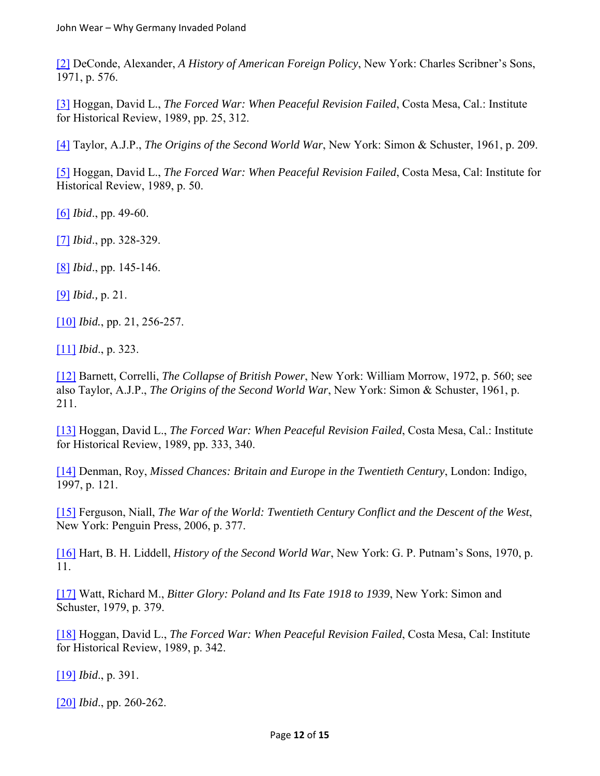[2] DeConde, Alexander, *A History of American Foreign Policy*, New York: Charles Scribner's Sons, 1971, p. 576.

[3] Hoggan, David L., *The Forced War: When Peaceful Revision Failed*, Costa Mesa, Cal.: Institute for Historical Review, 1989, pp. 25, 312.

[4] Taylor, A.J.P., *The Origins of the Second World War*, New York: Simon & Schuster, 1961, p. 209.

[5] Hoggan, David L., *The Forced War: When Peaceful Revision Failed*, Costa Mesa, Cal: Institute for Historical Review, 1989, p. 50.

[6] *Ibid*., pp. 49-60.

[7] *Ibid*., pp. 328-329.

[8] *Ibid*., pp. 145-146.

[9] *Ibid.,* p. 21.

[10] *Ibid.*, pp. 21, 256-257.

[11] *Ibid*., p. 323.

[12] Barnett, Correlli, *The Collapse of British Power*, New York: William Morrow, 1972, p. 560; see also Taylor, A.J.P., *The Origins of the Second World War*, New York: Simon & Schuster, 1961, p. 211.

[13] Hoggan, David L., *The Forced War: When Peaceful Revision Failed*, Costa Mesa, Cal.: Institute for Historical Review, 1989, pp. 333, 340.

[14] Denman, Roy, *Missed Chances: Britain and Europe in the Twentieth Century*, London: Indigo, 1997, p. 121.

[15] Ferguson, Niall, *The War of the World: Twentieth Century Conflict and the Descent of the West*, New York: Penguin Press, 2006, p. 377.

[16] Hart, B. H. Liddell, *History of the Second World War*, New York: G. P. Putnam's Sons, 1970, p. 11.

[17] Watt, Richard M., *Bitter Glory: Poland and Its Fate 1918 to 1939*, New York: Simon and Schuster, 1979, p. 379.

[18] Hoggan, David L., *The Forced War: When Peaceful Revision Failed*, Costa Mesa, Cal: Institute for Historical Review, 1989, p. 342.

[19] *Ibid*., p. 391.

[20] *Ibid*., pp. 260-262.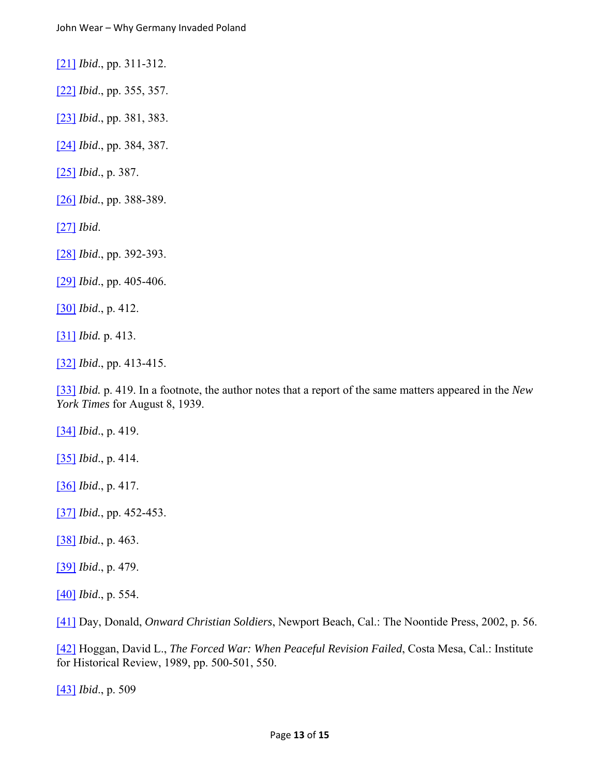[21] *Ibid*., pp. 311-312.

[22] *Ibid*., pp. 355, 357.

[23] *Ibid*., pp. 381, 383.

[24] *Ibid*., pp. 384, 387.

[25] *Ibid*., p. 387.

[26] *Ibid.*, pp. 388-389.

[27] *Ibid*.

[28] *Ibid*., pp. 392-393.

[29] *Ibid*., pp. 405-406.

[30] *Ibid*., p. 412.

[31] *Ibid.* p. 413.

[32] *Ibid*., pp. 413-415.

[33] *Ibid.* p. 419. In a footnote, the author notes that a report of the same matters appeared in the *New York Times* for August 8, 1939.

[34] *Ibid*., p. 419.

[35] *Ibid*., p. 414.

[36] *Ibid*., p. 417.

[37] *Ibid.*, pp. 452-453.

[38] *Ibid.*, p. 463.

[39] *Ibid*., p. 479.

[40] *Ibid*., p. 554.

[41] Day, Donald, *Onward Christian Soldiers*, Newport Beach, Cal.: The Noontide Press, 2002, p. 56.

[42] Hoggan, David L., *The Forced War: When Peaceful Revision Failed*, Costa Mesa, Cal.: Institute for Historical Review, 1989, pp. 500-501, 550.

[43] *Ibid*., p. 509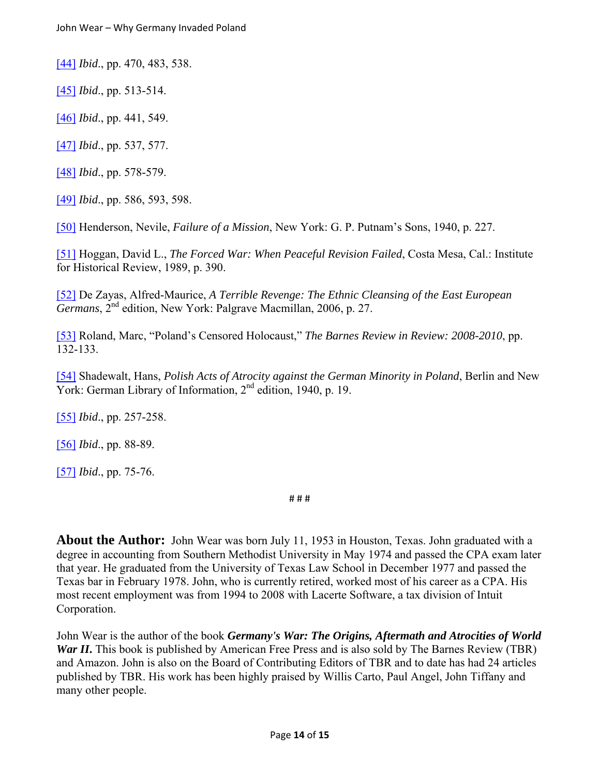[44] *Ibid*., pp. 470, 483, 538.

[45] *Ibid*., pp. 513-514.

[46] *Ibid*., pp. 441, 549.

[47] *Ibid*., pp. 537, 577.

[48] *Ibid*., pp. 578-579.

[49] *Ibid*., pp. 586, 593, 598.

[50] Henderson, Nevile, *Failure of a Mission*, New York: G. P. Putnam's Sons, 1940, p. 227.

[51] Hoggan, David L., *The Forced War: When Peaceful Revision Failed*, Costa Mesa, Cal.: Institute for Historical Review, 1989, p. 390.

[52] De Zayas, Alfred-Maurice, *A Terrible Revenge: The Ethnic Cleansing of the East European Germans*, 2nd edition, New York: Palgrave Macmillan, 2006, p. 27.

[53] Roland, Marc, "Poland's Censored Holocaust," *The Barnes Review in Review: 2008-2010*, pp. 132-133.

[54] Shadewalt, Hans, *Polish Acts of Atrocity against the German Minority in Poland*, Berlin and New York: German Library of Information, 2<sup>nd</sup> edition, 1940, p. 19.

[55] *Ibid*., pp. 257-258.

[56] *Ibid*., pp. 88-89.

[57] *Ibid*., pp. 75-76.

# # #

**About the Author:** John Wear was born July 11, 1953 in Houston, Texas. John graduated with a degree in accounting from Southern Methodist University in May 1974 and passed the CPA exam later that year. He graduated from the University of Texas Law School in December 1977 and passed the Texas bar in February 1978. John, who is currently retired, worked most of his career as a CPA. His most recent employment was from 1994 to 2008 with Lacerte Software, a tax division of Intuit Corporation.

John Wear is the author of the book *Germany's War: The Origins, Aftermath and Atrocities of World War II***.** This book is published by American Free Press and is also sold by The Barnes Review (TBR) and Amazon. John is also on the Board of Contributing Editors of TBR and to date has had 24 articles published by TBR. His work has been highly praised by Willis Carto, Paul Angel, John Tiffany and many other people.